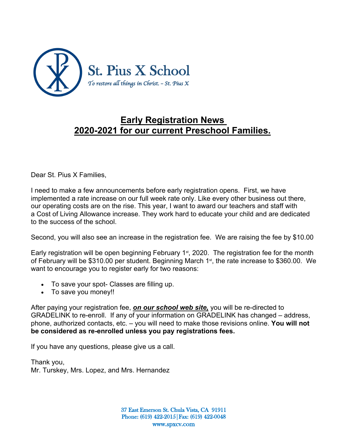

# **Early Registration News 2020-2021 for our current Preschool Families.**

Dear St. Pius X Families,

I need to make a few announcements before early registration opens. First, we have implemented a rate increase on our full week rate only. Like every other business out there, our operating costs are on the rise. This year, I want to award our teachers and staff with a Cost of Living Allowance increase. They work hard to educate your child and are dedicated to the success of the school.

Second, you will also see an increase in the registration fee. We are raising the fee by \$10.00

Early registration will be open beginning February 1<sup>st</sup>, 2020. The registration fee for the month of February will be \$310.00 per student. Beginning March 1<sup>st</sup>, the rate increase to \$360.00. We want to encourage you to register early for two reasons:

- To save your spot- Classes are filling up.
- To save you money!!

After paying your registration fee, *on our school web site,* you will be re-directed to GRADELINK to re-enroll. If any of your information on GRADELINK has changed – address, phone, authorized contacts, etc. – you will need to make those revisions online. **You will not be considered as re-enrolled unless you pay registrations fees.**

If you have any questions, please give us a call.

Thank you, Mr. Turskey, Mrs. Lopez, and Mrs. Hernandez

> 37 East Emerson St. Chula Vista, CA 91911 Phone: (619) 422-2015|Fax: (619) 422-0048 www.spxcv.com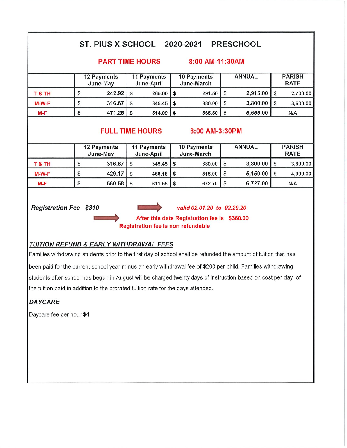# ST. PIUS X SCHOOL 2020-2021 PRESCHOOL

#### **PART TIME HOURS**

8:00 AM-11:30AM

|         | 12 Payments<br>June-May | 11 Payments<br>June-April | <b>10 Payments</b><br>June-March | <b>ANNUAL</b>   | <b>PARISH</b><br><b>RATE</b> |
|---------|-------------------------|---------------------------|----------------------------------|-----------------|------------------------------|
| T&TH    | $242.92$ \$             | $265.00$   \$             | 291.50                           | $2,915.00$ \$   | 2,700.00                     |
| $M-W-F$ | $316.67$   \$           | $345.45$ \$               | 380.00                           | $3,800.00$ \ \$ | 3,600.00                     |
| $M-F$   | $471.25$ \ \$           | $514.09$ \$               | 565.50                           | 5,655.00        | N/A                          |

#### FULL TIME HOURS 8:00 AM-3:30PM

|         | <b>12 Payments</b><br>June-May |                | 11 Payments<br>June-April | 10 Payments<br>June-March | <b>ANNUAL</b>   | <b>PARISH</b><br><b>RATE</b> |
|---------|--------------------------------|----------------|---------------------------|---------------------------|-----------------|------------------------------|
| T&TH    | 316.67                         | $\blacksquare$ | 345.45                    | \$<br>380.00              | $3,800.00$ \ \$ | 3,600.00                     |
| $M-W-F$ | $429.17$ \$                    |                | $468.18$ \$               | 515.00                    | $5,150.00$ \$   | 4,900.00                     |
| $M-F$   | $560.58$ \$                    |                | 611.55                    | \$<br>672.70              | 6,727.00        | N/A                          |

**Registration Fee \$310** 



valid 02.01.20 to 02.29.20

After this date Registration fee is \$360.00 **Registration fee is non refundable** 

### TUITION REFUND & EARLY WITHDRAWAL FEES

Families withdrawing students prior to the first day of school shall be refunded the amount of tuition that has

been paid for the current school year minus an early withdrawal fee of \$200 per child. Families withdrawing students after school has begun in August will be charged twenty days of instruction based on cost per day of the tuition paid in addition to the prorated tuition rate for the days attended.

### **DAYCARE**

Daycare fee per hour \$4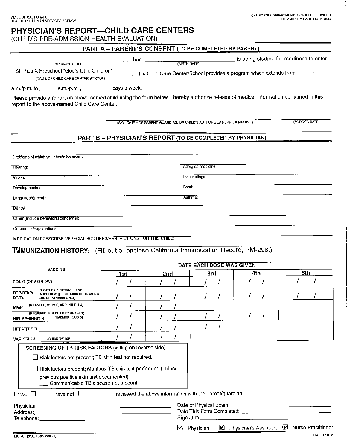# PHYSICIAN'S REPORT-CHILD CARE CENTERS

(CHILD'S PRE-ADMISSION HEALTH EVALUATION)

| <b>PART A - PARENT'S CONSENT (TO BE COMPLETED BY PARENT)</b> |  |
|--------------------------------------------------------------|--|
|--------------------------------------------------------------|--|

is being studied for readiness to enter  $\overline{\phantom{a}}$ , born  $\overline{\phantom{a}}$ (BIRTH DATE) (NAME OF CHILD)

St. Pius X Preschool "God's Little Children" . This Child Care Center/School provides a program which extends from \_\_\_\_\_: (NAME OF CHILD CARE CENTER/SCHOOL)

days a week. a.m./p.m. to \_\_\_\_\_\_\_\_\_ a.m./p.m., \_\_\_

Please provide a report on above-named child using the form below. I hereby authorize release of medical information contained in this report to the above-named Child Care Center.

(SIGNATURE OF PARENT, GUARDIAN, OR CHILD'S AUTHORIZED REPRESENTATIVE)

(TODAY'S DATE)

#### PART B - PHYSICIAN'S REPORT (TO BE COMPLETED BY PHYSICIAN)

| Problems of which you should be aware: |                      |
|----------------------------------------|----------------------|
| Hearing:                               | Allergies: medicine: |
| Vision:                                | Insect stings:       |
| Developmental:                         | Food:                |
| Language/Speech:                       | Asthma:              |
| Dental:                                |                      |
| Other (Include behavioral concerns):   |                      |
| Comments/Explanations:                 |                      |

MEDICATION PRESCRIBED/SPECIAL ROUTINES/RESTRICTIONS FOR THIS CHILD:

**IMMUNIZATION HISTORY:** (Fill out or enclose California Immunization Record, PM-298.)

|                                                                                                                                                                                                                                                                             |     |                                                          | DATE EACH DOSE WAS GIVEN        |     |                                              |
|-----------------------------------------------------------------------------------------------------------------------------------------------------------------------------------------------------------------------------------------------------------------------------|-----|----------------------------------------------------------|---------------------------------|-----|----------------------------------------------|
| <b>VACCINE</b>                                                                                                                                                                                                                                                              | 1st | 2nd                                                      | 3rd                             | 4th | 5th                                          |
| POLIO (OPV OR IPV)                                                                                                                                                                                                                                                          |     |                                                          |                                 |     |                                              |
| (DIPHTHERIA, TETANUS AND<br>DTP/DTaP/<br>(ACELLULAR) PERTUSSIS OR TETANUS<br><b>DT/Td</b><br>AND DIPHTHERIA ONLY)                                                                                                                                                           |     |                                                          |                                 |     |                                              |
| (MEASLES, MUMPS, AND RUBELLA)<br><b>MMR</b>                                                                                                                                                                                                                                 |     |                                                          |                                 |     |                                              |
| (REQUIRED FOR CHILD CARE ONLY)<br>(HAEMOPHILUS B)<br><b>HIB MENINGITIS</b>                                                                                                                                                                                                  |     |                                                          |                                 |     |                                              |
| <b>HEPATITIS B</b>                                                                                                                                                                                                                                                          |     |                                                          |                                 |     |                                              |
| <b>VARICELLA</b><br>(CHICKENPOX)                                                                                                                                                                                                                                            |     |                                                          |                                 |     |                                              |
| SCREENING OF TB RISK FACTORS (listing on reverse side)<br>□ Risk factors not present; TB skin test not required.<br>$\Box$ Risk factors present; Mantoux TB skin test performed (unless<br>previous positive skin test documented).<br>Communicable TB disease not present. |     |                                                          |                                 |     |                                              |
| have not $\Box$<br>$ $ have $\Box$                                                                                                                                                                                                                                          |     | reviewed the above information with the parent/guardian. |                                 |     |                                              |
|                                                                                                                                                                                                                                                                             |     |                                                          |                                 |     |                                              |
|                                                                                                                                                                                                                                                                             |     |                                                          | ☑<br>$\triangleright$ Physician |     | Physician's Assistant [A] Nurse Practitioner |
| LIC 701 (8/08) (Confidential)                                                                                                                                                                                                                                               |     |                                                          |                                 |     | PAGE 1 OF 2                                  |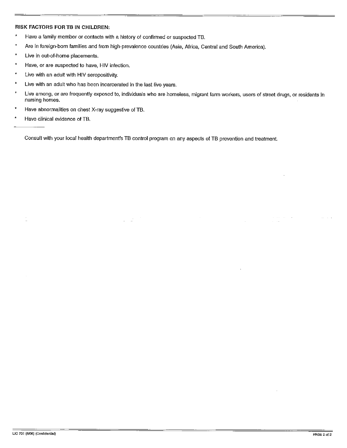#### RISK FACTORS FOR TB IN CHILDREN:

- $\hat{\mathbf{r}}$ Have a family member or contacts with a history of confirmed or suspected TB.
- $\star$ Are in foreign-born families and from high-prevalence countries (Asia, Africa, Central and South America).
- $\star$ Live in out-of-home placements.
- $\star$ Have, or are suspected to have, HIV infection.
- $\star$ Live with an adult with HIV seropositivity.
- $\bullet$ Live with an adult who has been incarcerated in the last five years.
- $\star$ Live among, or are frequently exposed to, individuals who are homeless, migrant farm workers, users of street drugs, or residents in nursing homes.
- $\bullet$ Have abnormalities on chest X-ray suggestive of TB.
- k. Have clinical evidence of TB.

 $\ddot{ }$ 

Consult with your local health department's TB control program on any aspects of TB prevention and treatment.

 $\omega = 2\pi \pi/2$ 

an di salah sahiji désa<br>Salah sa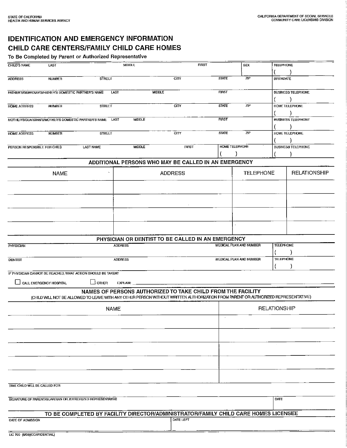# **IDENTIFICATION AND EMERGENCY INFORMATION** CHILD CARE CENTERS/FAMILY CHILD CARE HOMES

To Be Completed by Parent or Authorized Representative

| <b>CHILD'S NAME</b>           | LAST                                                 |                                                              | <b>MIDDLE</b>  | <b>FIRST</b>                                                                                                                                                                                     |              | SEX                     | <b>TELEPHONE</b>    |                           |
|-------------------------------|------------------------------------------------------|--------------------------------------------------------------|----------------|--------------------------------------------------------------------------------------------------------------------------------------------------------------------------------------------------|--------------|-------------------------|---------------------|---------------------------|
| <b>ADDRESS</b>                | <b>NUMBER</b>                                        | <b>STREET</b>                                                |                | CITY                                                                                                                                                                                             | <b>STATE</b> | ZIP                     | <b>BIRTHDATE</b>    |                           |
|                               | FATHER'S/GUARDIAN'S/FATHER'S DOMESTIC PARTNER'S NAME | LAST                                                         |                | <b>MIDDLE</b>                                                                                                                                                                                    | <b>FIRST</b> |                         |                     | <b>BUSINESS TELEPHONE</b> |
|                               |                                                      |                                                              |                |                                                                                                                                                                                                  |              |                         |                     |                           |
| HOME ADDRESS                  | NUMBER                                               | <b>STREET</b>                                                |                | CITY                                                                                                                                                                                             | <b>STATE</b> | ZIP                     |                     | HOME TELEPHONE            |
|                               |                                                      | MOTHER'S/GUARDIAN'S/MOTHER'S DOMESTIC PARTNER'S NAME LAST    | <b>MIDDLE</b>  |                                                                                                                                                                                                  | <b>FIRST</b> |                         |                     | <b>BUSINESS TELEPHONE</b> |
|                               |                                                      |                                                              |                |                                                                                                                                                                                                  |              |                         |                     |                           |
| <b>HOME ADDRESS</b>           | <b>NUMBER</b>                                        | <b>STREET</b>                                                |                | CITY                                                                                                                                                                                             | <b>STATE</b> | ZIP                     |                     | HOME TELEPHONE            |
|                               |                                                      |                                                              |                |                                                                                                                                                                                                  |              |                         |                     |                           |
| PERSON RESPONSIBLE FOR CHILD  |                                                      | <b>LAST NAME</b>                                             | <b>MIDDLE</b>  | <b>FIRST</b>                                                                                                                                                                                     |              | HOME TELEPHONE          |                     | <b>BUSINESS TELEPHONE</b> |
|                               |                                                      |                                                              |                |                                                                                                                                                                                                  |              |                         |                     |                           |
|                               |                                                      |                                                              |                | ADDITIONAL PERSONS WHO MAY BE CALLED IN AN EMERGENCY                                                                                                                                             |              |                         |                     |                           |
|                               | <b>NAME</b>                                          |                                                              |                | <b>ADDRESS</b>                                                                                                                                                                                   |              | <b>TELEPHONE</b>        |                     | <b>RELATIONSHIP</b>       |
|                               |                                                      |                                                              |                |                                                                                                                                                                                                  |              |                         |                     |                           |
|                               |                                                      |                                                              |                |                                                                                                                                                                                                  |              |                         |                     |                           |
|                               |                                                      |                                                              |                |                                                                                                                                                                                                  |              |                         |                     |                           |
|                               |                                                      |                                                              |                |                                                                                                                                                                                                  |              |                         |                     |                           |
|                               |                                                      |                                                              |                |                                                                                                                                                                                                  |              |                         |                     |                           |
|                               |                                                      |                                                              |                | PHYSICIAN OR DENTIST TO BE CALLED IN AN EMERGENCY                                                                                                                                                |              |                         |                     |                           |
| PHYSICIAN                     |                                                      |                                                              | <b>ADDRESS</b> |                                                                                                                                                                                                  |              | MEDICAL PLAN AND NUMBER | <b>TELEPHONE</b>    |                           |
|                               |                                                      |                                                              |                |                                                                                                                                                                                                  |              |                         |                     |                           |
| <b>DENTIST</b>                |                                                      |                                                              | <b>ADDRESS</b> |                                                                                                                                                                                                  |              | MEDICAL PLAN AND NUMBER | <b>TELEPHONE</b>    |                           |
|                               |                                                      | IF PHYSICIAN CANNOT BE REACHED, WHAT ACTION SHOULD BE TAKEN? |                |                                                                                                                                                                                                  |              |                         |                     |                           |
|                               | CALL EMERGENCY HOSPITAL                              | $\square$ other                                              | EXPLAIN:       |                                                                                                                                                                                                  |              |                         |                     |                           |
|                               |                                                      |                                                              |                | NAMES OF PERSONS AUTHORIZED TO TAKE CHILD FROM THE FACILITY<br>(CHILD WILL NOT BE ALLOWED TO LEAVE WITH ANY OTHER PERSON WITHOUT WRITTEN AUTHORIZATION FROM PARENT OR AUTHORIZED REPRESENTATIVE) |              |                         |                     |                           |
|                               |                                                      | <b>NAME</b>                                                  |                |                                                                                                                                                                                                  |              |                         | <b>RELATIONSHIP</b> |                           |
|                               |                                                      |                                                              |                |                                                                                                                                                                                                  |              |                         |                     |                           |
|                               |                                                      |                                                              |                |                                                                                                                                                                                                  |              |                         |                     |                           |
|                               |                                                      |                                                              |                |                                                                                                                                                                                                  |              |                         |                     |                           |
|                               |                                                      |                                                              |                |                                                                                                                                                                                                  |              |                         |                     |                           |
|                               |                                                      |                                                              |                |                                                                                                                                                                                                  |              |                         |                     |                           |
|                               |                                                      |                                                              |                |                                                                                                                                                                                                  |              |                         |                     |                           |
| TIME CHILD WILL BE CALLED FOR |                                                      |                                                              |                |                                                                                                                                                                                                  |              |                         |                     |                           |
|                               |                                                      |                                                              |                |                                                                                                                                                                                                  |              |                         |                     |                           |
|                               |                                                      | SIGNATURE OF PARENT/GUARDIAN OR AUTHORIZED REPRESENTATIVE    |                |                                                                                                                                                                                                  |              |                         | DATE                |                           |
|                               |                                                      |                                                              |                | TO BE COMPLETED BY FACILITY DIRECTOR/ADMINISTRATOR/FAMILY CHILD CARE HOMES LICENSEE                                                                                                              |              |                         |                     |                           |
| DATE OF ADMISSION             |                                                      |                                                              |                | DATE LEFT                                                                                                                                                                                        |              |                         |                     |                           |
| LIC 700 (B/08)(CONFIDENTIAL)  |                                                      |                                                              |                |                                                                                                                                                                                                  |              |                         |                     |                           |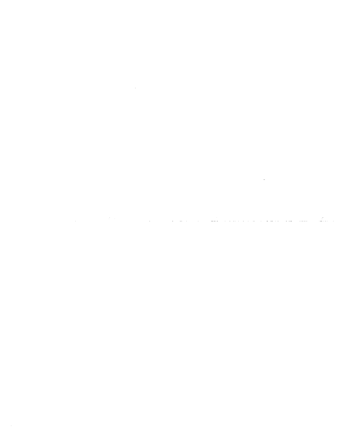$\label{eq:2.1} \frac{1}{\sqrt{2}}\int_{\mathbb{R}^3}\frac{1}{\sqrt{2}}\left(\frac{1}{\sqrt{2}}\right)^2\left(\frac{1}{\sqrt{2}}\right)^2\left(\frac{1}{\sqrt{2}}\right)^2\left(\frac{1}{\sqrt{2}}\right)^2\left(\frac{1}{\sqrt{2}}\right)^2\left(\frac{1}{\sqrt{2}}\right)^2\left(\frac{1}{\sqrt{2}}\right)^2\left(\frac{1}{\sqrt{2}}\right)^2\left(\frac{1}{\sqrt{2}}\right)^2\left(\frac{1}{\sqrt{2}}\right)^2\left(\frac{1}{\sqrt{2}}\right)^2\left(\frac$ 

 $\label{eq:2.1} \frac{1}{\sqrt{2}}\left(\frac{1}{\sqrt{2}}\right)^{2} \left(\frac{1}{\sqrt{2}}\right)^{2} \left(\frac{1}{\sqrt{2}}\right)^{2} \left(\frac{1}{\sqrt{2}}\right)^{2} \left(\frac{1}{\sqrt{2}}\right)^{2} \left(\frac{1}{\sqrt{2}}\right)^{2} \left(\frac{1}{\sqrt{2}}\right)^{2} \left(\frac{1}{\sqrt{2}}\right)^{2} \left(\frac{1}{\sqrt{2}}\right)^{2} \left(\frac{1}{\sqrt{2}}\right)^{2} \left(\frac{1}{\sqrt{2}}\right)^{2} \left(\$ 

# a sa mga banda ay isang pag-ang pag-ang pag-ang pag-ang pag-ang pag-ang pag-ang pag-ang pag-ang pag-ang pag-an<br>Sa pag-ang pag-ang pag-ang pag-ang pag-ang pag-ang pag-ang pag-ang pag-ang pag-ang pag-ang pag-ang pag-ang pag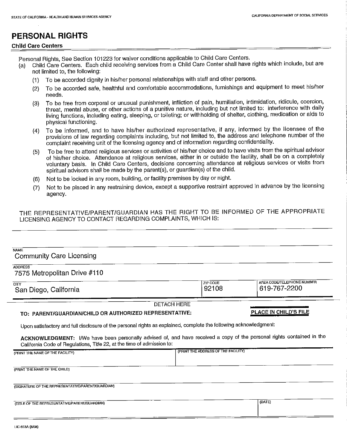# **PERSONAL RIGHTS**

|  |  |  |  |  |  |  | Child Care Centers |
|--|--|--|--|--|--|--|--------------------|
|--|--|--|--|--|--|--|--------------------|

Personal Rights, See Section 101223 for waiver conditions applicable to Child Care Centers.

- Child Care Centers. Each child receiving services from a Child Care Center shall have rights which include, but are  $(a)$ not limited to, the following:
	- To be accorded dignity in his/her personal relationships with staff and other persons.  $(1)$
	- To be accorded safe, healthful and comfortable accommodations, furnishings and equipment to meet his/her  $(2)$ needs.
	- To be free from corporal or unusual punishment, infliction of pain, humiliation, intimidation, ridicule, coercion,  $(3)$ threat, mental abuse, or other actions of a punitive nature, including but not limited to: interference with daily living functions, including eating, sleeping, or toileting; or withholding of shelter, clothing, medication or aids to physical functioning.
	- To be informed, and to have his/her authorized representative, if any, informed by the licensee of the  $(4)$ provisions of law regarding complaints including, but not limited to, the address and telephone number of the complaint receiving unit of the licensing agency and of information regarding confidentiality.
	- To be free to attend religious services or activities of his/her choice and to have visits from the spiritual advisor  $(5)$ of his/her choice. Attendance at religious services, either in or outside the facility, shall be on a completely voluntary basis. In Child Care Centers, decisions concerning attendance at religious services or visits from spiritual advisors shall be made by the parent(s), or quardian(s) of the child.
	- Not to be locked in any room, building, or facility premises by day or night.  $(6)$
	- Not to be placed in any restraining device, except a supportive restraint approved in advance by the licensing  $(7)$ agency.

#### THE REPRESENTATIVE/PARENT/GUARDIAN HAS THE RIGHT TO BE INFORMED OF THE APPROPRIATE LICENSING AGENCY TO CONTACT REGARDING COMPLAINTS, WHICH IS:

| <b>NAME</b><br><b>Community Care Licensing</b>                                                                                                                                                                                                                                                                        |                    |                                     |                                            |
|-----------------------------------------------------------------------------------------------------------------------------------------------------------------------------------------------------------------------------------------------------------------------------------------------------------------------|--------------------|-------------------------------------|--------------------------------------------|
| <b>ADDRESS</b><br>7575 Metropolitan Drive #110                                                                                                                                                                                                                                                                        |                    |                                     |                                            |
| <b>CITY</b><br>San Diego, California                                                                                                                                                                                                                                                                                  |                    | ZIP CODE<br>92108                   | AREA CODE/TELEPHONE NUMBER<br>619-767-2200 |
| TO: PARENT/GUARDIAN/CHILD OR AUTHORIZED REPRESENTATIVE:                                                                                                                                                                                                                                                               | <b>DETACH HERE</b> |                                     | PLACE IN CHILD'S FILE                      |
| Upon satisfactory and full disclosure of the personal rights as explained, complete the following acknowledgment:<br>ACKNOWLEDGMENT: I/We have been personally advised of, and have received a copy of the personal rights contained in the<br>California Code of Regulations, Title 22, at the time of admission to: |                    |                                     |                                            |
| (PRINT THE NAME OF THE FACILITY)                                                                                                                                                                                                                                                                                      |                    | (PRINT THE ADDRESS OF THE FACILITY) |                                            |
| (PRINT THE NAME OF THE CHILD)                                                                                                                                                                                                                                                                                         |                    |                                     |                                            |
| (SIGNATURE OF THE REPRESENTATIVE/PARENT/GUARDIAN)                                                                                                                                                                                                                                                                     |                    |                                     |                                            |
| (TITLE OF THE REPRESENTATIVE/PARENT/GUARDIAN)                                                                                                                                                                                                                                                                         |                    |                                     | (DATE)                                     |
|                                                                                                                                                                                                                                                                                                                       |                    |                                     |                                            |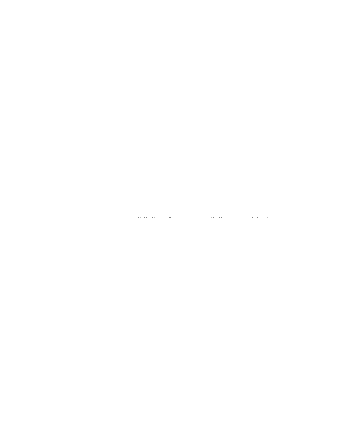and the maximum companies are a series of the second construction of the construction of the second companies

 $\label{eq:2.1} \mathcal{L}_{\text{max}}(\mathcal{L}_{\text{max}}) = \mathcal{L}_{\text{max}}(\mathcal{L}_{\text{max}})$ 

 $\label{eq:2.1} \frac{1}{\sqrt{2}}\int_{\mathbb{R}^3}\frac{1}{\sqrt{2}}\left(\frac{1}{\sqrt{2}}\right)^2\frac{1}{\sqrt{2}}\left(\frac{1}{\sqrt{2}}\right)^2\frac{1}{\sqrt{2}}\left(\frac{1}{\sqrt{2}}\right)^2.$ 

 $\label{eq:2.1} \frac{1}{\sqrt{2}}\int_{\mathbb{R}^3}\frac{1}{\sqrt{2}}\left(\frac{1}{\sqrt{2}}\right)^2\frac{1}{\sqrt{2}}\left(\frac{1}{\sqrt{2}}\right)^2\frac{1}{\sqrt{2}}\left(\frac{1}{\sqrt{2}}\right)^2\frac{1}{\sqrt{2}}\left(\frac{1}{\sqrt{2}}\right)^2.$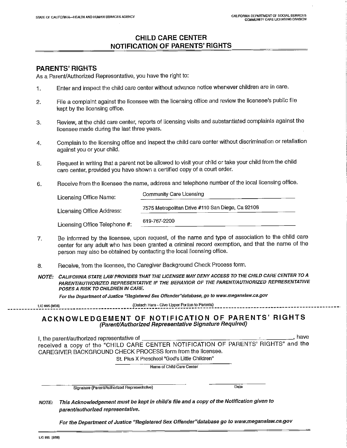#### **CHILD CARE CENTER NOTIFICATION OF PARENTS' RIGHTS**

#### **PARENTS' RIGHTS**

As a Parent/Authorized Representative, you have the right to:

- Enter and inspect the child care center without advance notice whenever children are in care.  $\mathbf 1$ .
- File a complaint against the licensee with the licensing office and review the licensee's public file  $\mathbf{2}$ kept by the licensing office.
- Review, at the child care center, reports of licensing visits and substantiated complaints against the 3. licensee made during the last three years.
- Complain to the licensing office and inspect the child care center without discrimination or retaliation  $\overline{4}$ . against you or your child.
- Request in writing that a parent not be allowed to visit your child or take your child from the child 5. care center, provided you have shown a certified copy of a court order.
- Receive from the licensee the name, address and telephone number of the local licensing office. 6.

| Licensing Office Name:        | Community Care Licensing                         |
|-------------------------------|--------------------------------------------------|
| Licensing Office Address:     | 7575 Metropolitan Drive #110 San Diego, Ca 92108 |
| Licensing Office Telephone #: | 619-767-2200                                     |

- Be informed by the licensee, upon request, of the name and type of association to the child care 7. center for any adult who has been granted a criminal record exemption, and that the name of the person may also be obtained by contacting the local licensing office.
- Receive, from the licensee, the Caregiver Background Check Process form. 8.
- NOTE: CALIFORNIA STATE LAW PROVIDES THAT THE LICENSEE MAY DENY ACCESS TO THE CHILD CARE CENTER TO A PARENT/AUTHORIZED REPRESENTATIVE IF THE BEHAVIOR OF THE PARENT/AUTHORIZED REPRESENTATIVE POSES A RISK TO CHILDREN IN CARE.

For the Department of Justice "Registered Sex Offender"database, go to www.meganslaw.ca.gov

LIC 995 (9/08)

(Detach Here - Give Upper Portion to Parents)

#### ACKNOWLEDGEMENT OF NOTIFICATION OF PARENTS' RIGHTS (Parent/Authorized Representative Signature Required)

|                                                                                    | have |
|------------------------------------------------------------------------------------|------|
| received a copy of the "CHILD CARE CENTER NOTIFICATION OF PARENTS' RIGHTS" and the |      |
| CAREGIVER BACKGROUND CHECK PROCESS form from the licensee.                         |      |
| St. Pius X Preschool "God's Little Children"                                       |      |
| Name of Child Care Center                                                          |      |
|                                                                                    |      |

Signature (Parent/Authorized Representative)

Date

This Acknowledgement must be kept in child's file and a copy of the Notification given to **NOTE:** parent/authorized representative.

For the Department of Justice "Registered Sex Offender"database go to www.meganslaw.ca.gov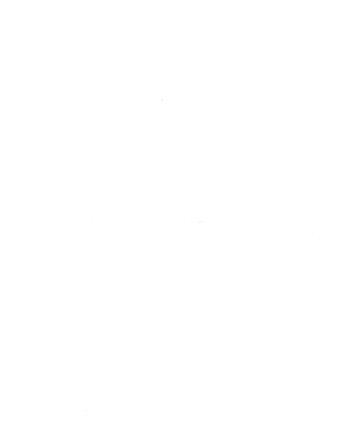$\label{eq:2.1} \frac{1}{\sqrt{2}}\int_{0}^{\infty}\frac{1}{\sqrt{2\pi}}\left(\frac{1}{\sqrt{2\pi}}\right)^{2}d\mu\int_{0}^{\infty}\frac{1}{\sqrt{2\pi}}\left(\frac{1}{\sqrt{2\pi}}\right)^{2}d\mu\int_{0}^{\infty}\frac{1}{\sqrt{2\pi}}\frac{1}{\sqrt{2\pi}}\frac{1}{\sqrt{2\pi}}\frac{1}{\sqrt{2\pi}}\frac{1}{\sqrt{2\pi}}\frac{1}{\sqrt{2\pi}}\frac{1}{\sqrt{2\pi}}\frac{1}{\sqrt{2\pi}}\frac{1}{\sqrt{$ 

 $\label{eq:2.1} \mathcal{L}(\mathcal{L}^{\text{max}}_{\text{max}}(\mathcal{L}^{\text{max}}_{\text{max}}))$ 

 $\label{eq:2.1} \frac{1}{\sqrt{2}}\int_{\mathbb{R}^3}\frac{1}{\sqrt{2}}\left(\frac{1}{\sqrt{2}}\right)^2\frac{1}{\sqrt{2}}\left(\frac{1}{\sqrt{2}}\right)^2\frac{1}{\sqrt{2}}\left(\frac{1}{\sqrt{2}}\right)^2\frac{1}{\sqrt{2}}\left(\frac{1}{\sqrt{2}}\right)^2\frac{1}{\sqrt{2}}\left(\frac{1}{\sqrt{2}}\right)^2\frac{1}{\sqrt{2}}\frac{1}{\sqrt{2}}\frac{1}{\sqrt{2}}\frac{1}{\sqrt{2}}\frac{1}{\sqrt{2}}\frac{1}{\sqrt{2}}$ 

 $\label{eq:2.1} \mathcal{L}(\mathcal{L}^{\text{max}}_{\mathcal{L}}(\mathcal{L}^{\text{max}}_{\mathcal{L}}),\mathcal{L}^{\text{max}}_{\mathcal{L}^{\text{max}}_{\mathcal{L}}})$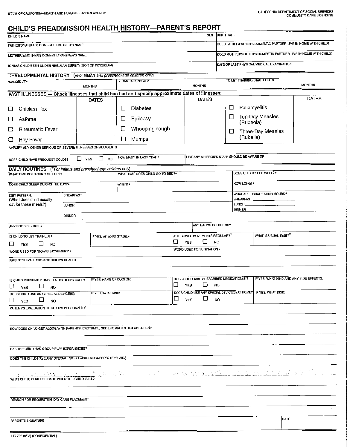#### **CHILD'S PREADMISSION HEALTH HISTORY-PARENT'S REPORT**

l.

|                                                                                                 |                                   |                                  |        | <b>SEX</b>                                                   | <b>BIRTH DATE</b> |                                    |                                                                  |                                                                |
|-------------------------------------------------------------------------------------------------|-----------------------------------|----------------------------------|--------|--------------------------------------------------------------|-------------------|------------------------------------|------------------------------------------------------------------|----------------------------------------------------------------|
| <b>CHILD'S NAME</b>                                                                             |                                   |                                  |        |                                                              |                   |                                    |                                                                  | DOES FATHER/FATHER'S DOMESTIC PARTNER LIVE IN HOME WITH CHILD? |
| FATHER'S/FATHER'S DOMESTIC PARTNER'S NAME                                                       |                                   |                                  |        |                                                              |                   |                                    |                                                                  | DOES MOTHER/MOTHER'S DOMESTIC PARTNER LIVE IN HOME WITH CHILD? |
| MOTHER'S/MOTHER'S DOMESTIC PARTNER'S NAME                                                       |                                   |                                  |        |                                                              |                   |                                    |                                                                  |                                                                |
| IS /HAS CHILD BEEN UNDER REGULAR SUPERVISION OF PHYSICIAN?                                      |                                   |                                  |        |                                                              |                   |                                    | DATE OF LAST PHYSICAL/MEDICAL EXAMINATION                        |                                                                |
| DEVELOPMENTAL HISTORY (*For infants and preschool-age children only)<br><b>WALKED AT*</b>       |                                   | <b>BEGAN TALKING AT*</b>         |        |                                                              |                   | <b>TOILET TRAINING STARTED AT*</b> |                                                                  |                                                                |
|                                                                                                 | <b>MONTHS</b>                     |                                  |        | <b>MONTHS</b>                                                |                   |                                    |                                                                  | <b>MONTHS</b>                                                  |
| PAST ILLNESSES - Check illnesses that child has had and specify approximate dates of illnesses: |                                   |                                  |        | <b>DATES</b>                                                 |                   |                                    |                                                                  | <b>DATES</b>                                                   |
| Chicken Pox                                                                                     | <b>DATES</b>                      | □<br><b>Diabetes</b>             |        |                                                              |                   | $\Box$                             | Poliomyelitis                                                    |                                                                |
| □                                                                                               |                                   |                                  |        |                                                              |                   | $\Box$                             | Ten-Day Measles                                                  |                                                                |
| Asthma<br>□                                                                                     |                                   | Epilepsy<br>$\Box$               |        |                                                              |                   | (Rubeola)                          |                                                                  |                                                                |
| <b>Rheumatic Fever</b><br>□                                                                     |                                   | Whooping cough<br>$\Box$         |        |                                                              |                   | $\Box$                             | Three-Day Measles                                                |                                                                |
| Hay Fever<br>□                                                                                  |                                   | ◘<br>Mumps                       |        |                                                              |                   | (Rubella)                          |                                                                  |                                                                |
| SPECIFY ANY OTHER SERIOUS OR SEVERE ILLNESSES OR ACCIDENTS                                      |                                   |                                  |        |                                                              |                   |                                    |                                                                  |                                                                |
| DOES CHILD HAVE FREQUENT COLDS?                                                                 | $\Box$<br>$\Box$ YES<br><b>NO</b> | HOW MANY IN LAST YEAR?           |        | LIST ANY ALLERGIES STAFF SHOULD BE AWARE OF                  |                   |                                    |                                                                  |                                                                |
| DAILY ROUTINES (*For Infants and preschool-age children only)                                   |                                   |                                  |        |                                                              |                   |                                    | DOES CHILD SLEEP WELL?*                                          |                                                                |
| WHAT TIME DOES CHILD GET UP?*                                                                   |                                   | WHAT TIME DOES CHILD GO TO BED?* |        |                                                              |                   |                                    |                                                                  |                                                                |
| DOES CHILD SLEEP DURING THE DAY?*                                                               |                                   | WHEN?*                           |        |                                                              |                   | <b>HOW LONG?*</b>                  |                                                                  |                                                                |
| <b>OIET PATTERN:</b><br>(What does child usually                                                | <b>BREAKFAST</b>                  |                                  |        |                                                              |                   |                                    | WHAT ARE USUAL EATING HOURS?                                     |                                                                |
| eat for these meals?)<br><b>LUNCH</b>                                                           |                                   |                                  |        |                                                              |                   | LUNCH.<br><b>DINNER</b>            |                                                                  |                                                                |
| <b>DINNER</b>                                                                                   |                                   |                                  |        |                                                              |                   |                                    |                                                                  |                                                                |
| ANY FOOD DISLIKES?                                                                              |                                   |                                  |        | ANY EATING PROBLEMS?                                         |                   |                                    |                                                                  |                                                                |
| IS CHILD TOILET TRAINED?*                                                                       | IF YES, AT WHAT STAGE:*           |                                  |        | ARE BOWEL MOVEMENTS REQULAR? <sup>*</sup>                    |                   |                                    | WHAT IS USUAL TIME? <sup>*</sup>                                 |                                                                |
| Ш<br>YES<br><b>NO</b>                                                                           |                                   |                                  | $\Box$ | <b>YES</b>                                                   | <b>NO</b>         |                                    |                                                                  |                                                                |
| WORD USED FOR "BOWEL MOVEMENT"*                                                                 |                                   |                                  |        | WORD USED FOR URINATION*                                     |                   |                                    |                                                                  |                                                                |
| PARENT'S EVALUATION OF CHILD'S HEALTH                                                           |                                   |                                  |        |                                                              |                   |                                    |                                                                  |                                                                |
|                                                                                                 |                                   |                                  |        |                                                              |                   |                                    |                                                                  |                                                                |
| IS CHILD PRESENTLY UNDER A DOCTOR'S CARE?                                                       | IF YES, NAME OF DOCTOR:           |                                  | $\Box$ | DOES CHILD TAKE PRESCRIBED MEDICATION(S)?<br>YES <b>D</b> NO |                   |                                    | IF YES, WHAT KIND AND ANY SIDE EFFECTS:                          |                                                                |
| ⊔<br>ப<br>YES<br>NO.<br>DOES CHILD USE ANY SPECIAL DEVICE(S):                                   | F YES, WHAT KIND:                 |                                  |        |                                                              |                   |                                    | DOES CHILD USE ANY SPECIAL DEVICE(S) AT HOME? IF YES, WHAT KIND: |                                                                |
| $\Box$<br>Ц<br>YES<br><b>NO</b>                                                                 |                                   |                                  | $\Box$ | $\Box$ NO<br><b>YES</b>                                      |                   |                                    |                                                                  |                                                                |
| PARENT'S EVALUATION OF CHILD'S PERSONALITY                                                      |                                   |                                  |        |                                                              |                   |                                    |                                                                  |                                                                |
|                                                                                                 |                                   |                                  |        |                                                              |                   |                                    |                                                                  |                                                                |
| HOW DOES CHILD GET ALONG WITH PARENTS, BROTHERS, SISTERS AND OTHER CHILDREN?                    |                                   |                                  |        |                                                              |                   |                                    |                                                                  |                                                                |
|                                                                                                 |                                   |                                  |        |                                                              |                   |                                    |                                                                  |                                                                |
| HAS THE CHILD HAD GROUP PLAY EXPERIENCES?                                                       |                                   |                                  |        |                                                              |                   |                                    |                                                                  |                                                                |
| DOES THE CHILD HAVE ANY SPECIAL PROBLEMS/FEARS/NEEDS? (EXPLAIN.)                                |                                   |                                  |        |                                                              |                   |                                    |                                                                  |                                                                |
|                                                                                                 |                                   |                                  |        |                                                              |                   |                                    |                                                                  |                                                                |
| 一个人的人感情感到 2014年,1989年4月大学,有一个小时间, 网络威廉博德 铁路 化高温                                                 |                                   |                                  |        |                                                              |                   |                                    |                                                                  | 医中央 化甲基氧基碳酸 计循环式                                               |
| WHAT IS THE PLAN FOR CARE WHEN THE CHILD IS ILL?                                                |                                   |                                  |        |                                                              |                   |                                    |                                                                  |                                                                |
|                                                                                                 |                                   |                                  |        |                                                              |                   |                                    |                                                                  |                                                                |
| REASON FOR REQUESTING DAY CARE PLACEMENT                                                        |                                   |                                  |        |                                                              |                   |                                    |                                                                  |                                                                |
|                                                                                                 |                                   |                                  |        |                                                              |                   |                                    |                                                                  |                                                                |
| PARENT'S SIGNATURE                                                                              |                                   |                                  |        |                                                              |                   |                                    | DATE                                                             |                                                                |
|                                                                                                 |                                   |                                  |        |                                                              |                   |                                    |                                                                  |                                                                |
| LIC 702 (8/08) (CONFIDENTIAL)                                                                   |                                   |                                  |        |                                                              |                   |                                    |                                                                  |                                                                |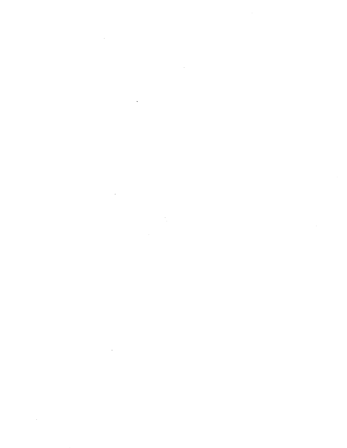$\label{eq:2.1} \frac{1}{\sqrt{2}}\int_{\mathbb{R}^3} \frac{1}{\sqrt{2}}\left(\frac{1}{\sqrt{2}}\right)^2\left(\frac{1}{\sqrt{2}}\right)^2\left(\frac{1}{\sqrt{2}}\right)^2\left(\frac{1}{\sqrt{2}}\right)^2\left(\frac{1}{\sqrt{2}}\right)^2\left(\frac{1}{\sqrt{2}}\right)^2\left(\frac{1}{\sqrt{2}}\right)^2\left(\frac{1}{\sqrt{2}}\right)^2\left(\frac{1}{\sqrt{2}}\right)^2\left(\frac{1}{\sqrt{2}}\right)^2\left(\frac{1}{\sqrt{2}}\right)^2\left(\$ 

 $\label{eq:2.1} \frac{1}{2} \sum_{i=1}^n \frac{1}{2} \sum_{j=1}^n \frac{1}{2} \sum_{j=1}^n \frac{1}{2} \sum_{j=1}^n \frac{1}{2} \sum_{j=1}^n \frac{1}{2} \sum_{j=1}^n \frac{1}{2} \sum_{j=1}^n \frac{1}{2} \sum_{j=1}^n \frac{1}{2} \sum_{j=1}^n \frac{1}{2} \sum_{j=1}^n \frac{1}{2} \sum_{j=1}^n \frac{1}{2} \sum_{j=1}^n \frac{1}{2} \sum_{j=1}^n \frac{$ 

 $\label{eq:2.1} \frac{1}{\sqrt{2}}\int_{0}^{\infty}\frac{1}{\sqrt{2\pi}}\left(\frac{1}{\sqrt{2\pi}}\right)^{2\alpha} \frac{1}{\sqrt{2\pi}}\int_{0}^{\infty}\frac{1}{\sqrt{2\pi}}\frac{1}{\sqrt{2\pi}}\frac{1}{\sqrt{2\pi}}\frac{1}{\sqrt{2\pi}}\frac{1}{\sqrt{2\pi}}\frac{1}{\sqrt{2\pi}}\frac{1}{\sqrt{2\pi}}\frac{1}{\sqrt{2\pi}}\frac{1}{\sqrt{2\pi}}\frac{1}{\sqrt{2\pi}}\frac{1}{\sqrt{2\pi}}\frac{1}{$ 

 $\label{eq:2.1} \frac{1}{\sqrt{2}}\int_{0}^{\infty}\frac{1}{\sqrt{2\pi}}\left(\frac{1}{\sqrt{2\pi}}\right)^{2\alpha} \frac{1}{\sqrt{2\pi}}\int_{0}^{\infty}\frac{1}{\sqrt{2\pi}}\left(\frac{1}{\sqrt{2\pi}}\right)^{\alpha} \frac{1}{\sqrt{2\pi}}\frac{1}{\sqrt{2\pi}}\int_{0}^{\infty}\frac{1}{\sqrt{2\pi}}\frac{1}{\sqrt{2\pi}}\frac{1}{\sqrt{2\pi}}\frac{1}{\sqrt{2\pi}}\frac{1}{\sqrt{2\pi}}\frac{1}{\sqrt{2\pi}}$ 

 $\label{eq:2.1} \frac{1}{\sqrt{2}}\int_{\mathbb{R}^3}\frac{1}{\sqrt{2}}\left(\frac{1}{\sqrt{2}}\right)^2\frac{1}{\sqrt{2}}\left(\frac{1}{\sqrt{2}}\right)^2\frac{1}{\sqrt{2}}\left(\frac{1}{\sqrt{2}}\right)^2\frac{1}{\sqrt{2}}\left(\frac{1}{\sqrt{2}}\right)^2\frac{1}{\sqrt{2}}\left(\frac{1}{\sqrt{2}}\right)^2\frac{1}{\sqrt{2}}\frac{1}{\sqrt{2}}\frac{1}{\sqrt{2}}\frac{1}{\sqrt{2}}\frac{1}{\sqrt{2}}\frac{1}{\sqrt{2}}$ 

 $\sim 10^{11}$  km s  $^{-1}$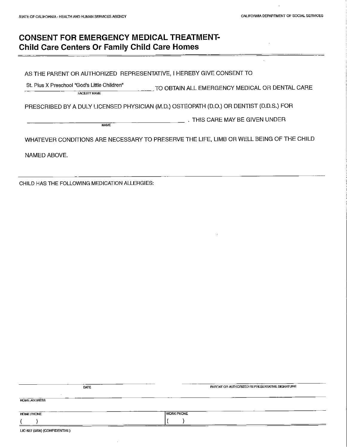## **CONSENT FOR EMERGENCY MEDICAL TREATMENT-Child Care Centers Or Family Child Care Homes**

AS THE PARENT OR AUTHORIZED REPRESENTATIVE, I HEREBY GIVE CONSENT TO

St. Pius X Preschool "God's Little Children" TO OBTAIN ALL EMERGENCY MEDICAL OR DENTAL CARE FACILITY NAME

PRESCRIBED BY A DULY LICENSED PHYSICIAN (M.D.) OSTEOPATH (D.O.) OR DENTIST (D.D.S.) FOR

**NAME** 

WHATEVER CONDITIONS ARE NECESSARY TO PRESERVE THE LIFE, LIMB OR WELL BEING OF THE CHILD

NAMED ABOVE.

CHILD HAS THE FOLLOWING MEDICATION ALLERGIES:

|                     | DATE | PARENT OR AUTHORIZED REPRESENTATIVE SIGNATURE |  |  |  |
|---------------------|------|-----------------------------------------------|--|--|--|
| <b>HOME ADDRESS</b> |      |                                               |  |  |  |
| <b>HOME PHONE</b>   |      | <b>WORK PHONE</b>                             |  |  |  |
|                     |      |                                               |  |  |  |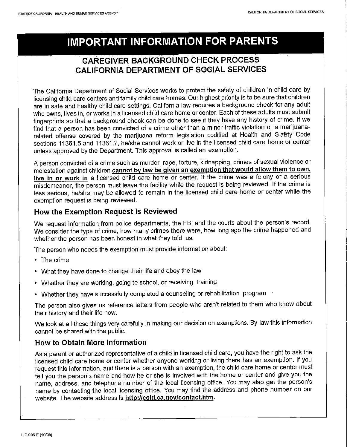# **IMPORTANT INFORMATION FOR PARENTS**

# **CAREGIVER BACKGROUND CHECK PROCESS CALIFORNIA DEPARTMENT OF SOCIAL SERVICES**

The California Department of Social Services works to protect the safety of children in child care by licensing child care centers and family child care homes. Our highest priority is to be sure that children are in safe and healthy child care settings. California law requires a background check for any adult who owns, lives in, or works in a licensed child care home or center. Each of these adults must submit fingerprints so that a background check can be done to see if they have any history of crime. If we find that a person has been convicted of a crime other than a minor traffic violation or a marijuanarelated offense covered by the marijuana reform legislation codified at Health and Sabty Code sections 11361.5 and 11361.7, he/she cannot work or live in the licensed child care home or center unless approved by the Department. This approval is called an exemption.

A person convicted of a crime such as murder, rape, torture, kidnapping, crimes of sexual violence or molestation against children cannot by law be given an exemption that would allow them to own, live in or work in a licensed child care home or center. If the crime was a felony or a serious misdemeanor, the person must leave the facility while the request is being reviewed. If the crime is less serious, he/she may be allowed to remain in the licensed child care home or center while the exemption request is being reviewed.

### How the Exemption Request is Reviewed

We request information from police departments, the FBI and the courts about the person's record. We consider the type of crime, how many crimes there were, how long ago the crime happened and whether the person has been honest in what they told us.

The person who needs the exemption must provide information about:

- The crime
- What they have done to change their life and obey the law
- Whether they are working, going to school, or receiving training
- Whether they have successfully completed a counseling or rehabilitation program

The person also gives us reference letters from people who aren't related to them who know about their history and their life now.

We look at all these things very carefully in making our decision on exemptions. By law this information cannot be shared with the public.

## How to Obtain More Information

As a parent or authorized representative of a child in licensed child care, you have the right to ask the licensed child care home or center whether anyone working or living there has an exemption. If you request this information, and there is a person with an exemption, the child care home or center must tell you the person's name and how he or she is involved with the home or center and give you the name, address, and telephone number of the local licensing office. You may also get the person's name by contacting the local licensing office. You may find the address and phone number on our website. The website address is http://ccld.ca.gov/contact.htm.